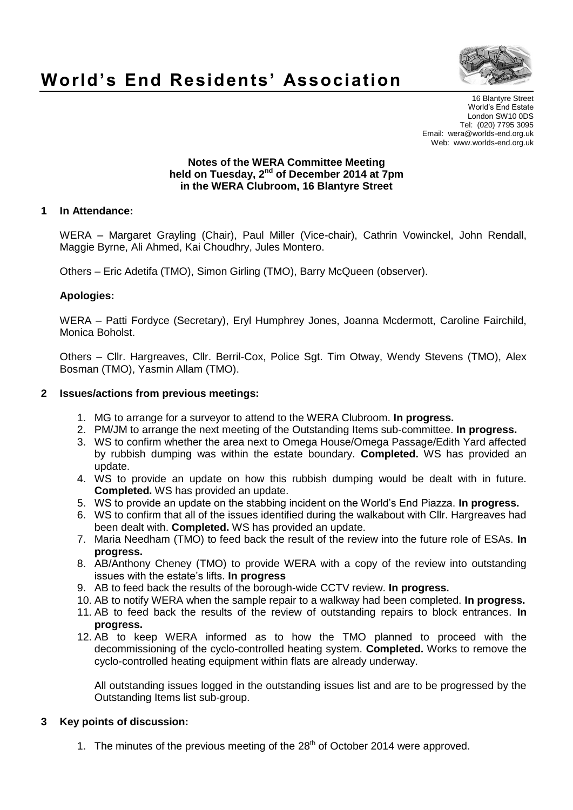

# **World's End Residents' Association**

16 Blantyre Street World's End Estate London SW10 0DS Tel: (020) 7795 3095 Email: wera@worlds-end.org.uk Web: www.worlds-end.org.uk

#### **Notes of the WERA Committee Meeting held on Tuesday, 2 nd of December 2014 at 7pm in the WERA Clubroom, 16 Blantyre Street**

## **1 In Attendance:**

WERA – Margaret Grayling (Chair), Paul Miller (Vice-chair), Cathrin Vowinckel, John Rendall, Maggie Byrne, Ali Ahmed, Kai Choudhry, Jules Montero.

Others – Eric Adetifa (TMO), Simon Girling (TMO), Barry McQueen (observer).

## **Apologies:**

WERA – Patti Fordyce (Secretary), Eryl Humphrey Jones, Joanna Mcdermott, Caroline Fairchild, Monica Boholst.

Others – Cllr. Hargreaves, Cllr. Berril-Cox, Police Sgt. Tim Otway, Wendy Stevens (TMO), Alex Bosman (TMO), Yasmin Allam (TMO).

#### **2 Issues/actions from previous meetings:**

- 1. MG to arrange for a surveyor to attend to the WERA Clubroom. **In progress.**
- 2. PM/JM to arrange the next meeting of the Outstanding Items sub-committee. **In progress.**
- 3. WS to confirm whether the area next to Omega House/Omega Passage/Edith Yard affected by rubbish dumping was within the estate boundary. **Completed.** WS has provided an update.
- 4. WS to provide an update on how this rubbish dumping would be dealt with in future. **Completed.** WS has provided an update.
- 5. WS to provide an update on the stabbing incident on the World's End Piazza. **In progress.**
- 6. WS to confirm that all of the issues identified during the walkabout with Cllr. Hargreaves had been dealt with. **Completed.** WS has provided an update.
- 7. Maria Needham (TMO) to feed back the result of the review into the future role of ESAs. **In progress.**
- 8. AB/Anthony Cheney (TMO) to provide WERA with a copy of the review into outstanding issues with the estate's lifts. **In progress**
- 9. AB to feed back the results of the borough-wide CCTV review. **In progress.**
- 10. AB to notify WERA when the sample repair to a walkway had been completed. **In progress.**
- 11. AB to feed back the results of the review of outstanding repairs to block entrances. **In progress.**
- 12. AB to keep WERA informed as to how the TMO planned to proceed with the decommissioning of the cyclo-controlled heating system. **Completed.** Works to remove the cyclo-controlled heating equipment within flats are already underway.

All outstanding issues logged in the outstanding issues list and are to be progressed by the Outstanding Items list sub-group.

#### **3 Key points of discussion:**

1. The minutes of the previous meeting of the  $28<sup>th</sup>$  of October 2014 were approved.